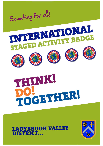



# THINK. TOCHTHER

# **BROOK VALLEY ISTRICT...**

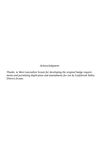*Acknowledgment:* 

*Thanks to West Lancashire Scouts for developing the original badge requirements and permitting duplication and amendments for use by Ladybrook Valley District.Scouts.*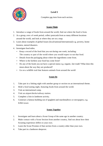



Complete one item from each section.

#### **Scouts Think**

- 1. Introduce a range of foods from around the world, find out where the food is from.
- 2. As a group, over a 6 week period, collect postcards from as many different locations around the world, and look at where they are on a map.
- 3. Learn about examples of global Issues (local/national/international) e.g. poverty, homelessness, natural disasters.
- 4. Investigate food miles.
	- Keep a record of the food that you eat during one week, including: The country or part of the world where you would expect to eat that food.
	- Details from the packaging about where the ingredients come from.
	- Where is the furthest your food has come from?
	- Do any of the foods you eat have a special status e.g. organic, fair-trade? What does this mean about the way they are produced?
	- Go on a wildlife trail that features animals from around the world

#### **Scouts Do**

- 1. Take part in a linking night with another group or section on an international theme.
- 2. Hold a food tasting night, featuring foods from around the world.
- 3. Visit an international camp.
- 4. Visit an airport/docks/railway station.
- 5. Complete a Join in Jamboree activity.
- 6. Construct a famous building out of spaghetti and marshmallows or newspapers, e.g. Eiffel tower.

- 1. Investigate and learn about a Scout Group of the same age in another country.
- 2. Make contact with a Scout Section from another country, find out about how their Scouting experience differs to your own.
- 3. Learn the Scout Promise of that section from a country other than your own.
- 4. Take part in a Jamboree sleepover.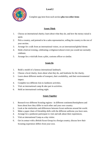

Complete one item from each section **plus two other items**

#### **Scouts Think**

- 1. Choose an international charity; learn about what they do, and how the money raised is spent.
- 2. Pick a country, and pretend to be a sales representative, selling the country to the rest of your section.
- 3. Arrange for a talk from an international visitor, on an international/global theme.
- 4. Hold a festival evening, celebrating a religious/cultural event you would not normally celebrate.
- 5. Arrange for a visit/talk from a pilot, customs officer or similar.

#### **Scouts Do**

- 1. Build a model of a famous international landmark.
- 2. Choose a local charity, learn about what they do, and fundraise for the charity.
- 3. Learn about different modes of transport, their availability, and their environmental impact.
- 4. Complete two different Join in Jamboree activities.
- 5. Visit an international camp & take part in activities.
- 6. Hold an international cooking night.

- 1. Research two different Scouting regions in different continents/hemispheres and learn about how they differ to each other and your own country.
- 2. Look at the similarities and differences between Scout uniforms around the world.
- 3. Make a paper chain of friendship dolls with the different uniforms you have seen.
- 4. Arrange for a jamboree participant to visit and talk about their experiences.
- 5. Visit an international Camp as a day visitor.
- 6. Get in contact with a British Scout Group in a foreign country; discuss how their Scouting experience differs from your own.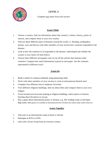# **LEVEL 3**



Complete two items from each section

#### **Scouts Think**

- 1. Choose a country, find out information about that country's culture, history, points of interest, and compare these to your own country
- 2. Find out about different types of disasters around the world, i.e. flooding, earthquakes, famine, wars and discuss with other members of your section how countries responded to the disaster.
- 3. Look at how the countries in 2) responded to the disaster, redeveloped and whether the country is now better off than before.
- 4. Choose three different newspapers and cut out all the articles that mention other countries. Compare how much information is given in each paper. Are the countries represented in different ways?

#### **Scouts Do**

- 1. Build a model of a famous landmark using pioneering skills.
- 2. Work with other members of your section to cook an international themed meal.
- 3. Complete four different Join in Jamboree Activities.
- 4. Visit different religious buildings, find out about them and compare them to your own religion.
- 5. Travel around your local area looking at religious buildings, and/or places of interest, learning about the places as you go.
- *6.* Play a game about international justice or fairness, e.g. The Trading Game or the Paper Bag Game. *(Both games are available as downloads from the Christian Aid website under youth resources)*

- 1. Take part in an international camp at home or abroad.
- 2. Participate in JOTA or JOTI.
- 3. Link with a Scout Group from an overseas country.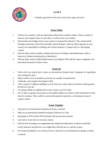

## **Level 4**

Complete two items from each section plus one extra item

### **Scouts Think**

- 1. Choose two countries, find out information about both countries culture, history, points of interest, and compare these to each other, as well as your own country.
- 2. Demonstrate knowledge of how your country is prepared for disasters. This could include flooding, hurricanes, forest fires and other natural disasters. Find out which agencies in your country are responsible for dealing with various disasters. Compare this to a developing country.
- 3. Find out about various charities related to the issues of refugees and homelessness, both at home (e.g. Shelter) and abroad (e.g. Shelterbox).
- 4. Find out about various Global Health issues, (e.g. Malaria, HIV) and the causes, symptoms, and prevention/treatment of these issues.

#### **Scouts Do**

- 1. Work with your patrol/unit to plan an international themed meal, shopping for ingredients and cooking the meal.
- 2. Help to deliver Join In Jamboree activities for another Group/Section.
- 3. Undertake, and complete the Explorer Belt.
- 4. Visit a variety of religious buildings in your local area, and/or places of interest, learning about the places as you go.
- 5. As a group, debate on a global issue of your choice, e.g. Fair Trade.
- 6. Give a talk to a group of your peers on any global subject you choose, which should last not less than five minutes. This could be a recent International experience, environmental issue or another culture.

- 1. Take part in an International Jamboree at home or abroad
- 2. Help run an international themed evening for Beavers or Cubs
- 3. Participate in JOTA and/or JOTI and talk with Scouts from overseas
- 4. Link with a Scout from an overseas country.
- 5. Find out how Scouting as an organisation has helped and aided many countries around the world. Research and plan how you might help with the aid of a specific project.
- 6. Give home hospitality to an overseas Scout or take part in an international exchange, at home, or abroad.